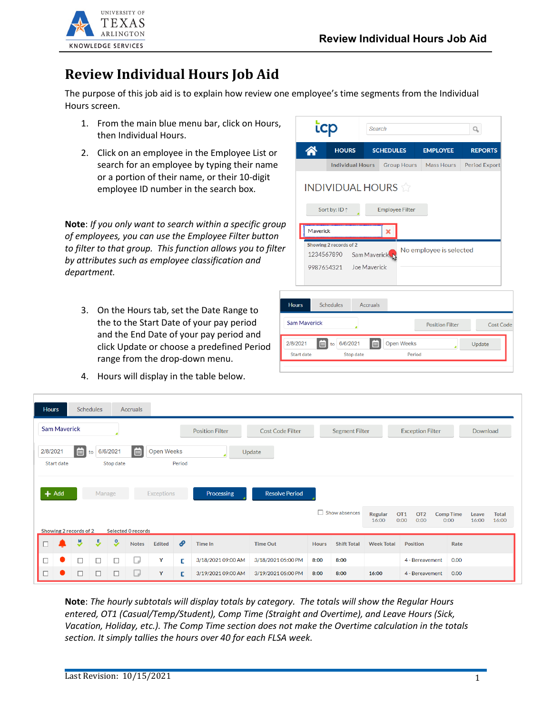

## **Review Individual Hours Job Aid**

The purpose of this job aid is to explain how review one employee's time segments from the Individual Hours screen.

- 1. From the main blue menu bar, click on Hours, then Individual Hours.
- 2. Click on an employee in the Employee List or search for an employee by typing their name or a portion of their name, or their 10-digit employee ID number in the search box.

**Note**: *If you only want to search within a specific grou of employees, you can use the Employee Filter button*  to filter to that group. This function allows you to filte. *by attributes such as employee classification and department.*

- 3. On the Hours tab, set the Date Range to the to the Start Date of your pay period and the End Date of your pay period and click Update or choose a predefined Period range from the drop-down menu.
- 4. Hours will display in the table below.

| icp                    |                                      | Search                       |                             |                         | О                    |
|------------------------|--------------------------------------|------------------------------|-----------------------------|-------------------------|----------------------|
| Λ                      | <b>HOURS</b>                         | <b>SCHEDULES</b>             |                             | <b>EMPLOYEE</b>         | <b>REPORTS</b>       |
|                        | <b>Individual Hours</b>              |                              | <b>Group Hours</b>          | Mass Hours              | <b>Period Export</b> |
|                        | <b>INDIVIDUAL HOURS</b>              |                              |                             |                         |                      |
|                        | Sort by: ID 1                        |                              | <b>Employee Filter</b>      |                         |                      |
| Maverick               |                                      | ×                            |                             |                         |                      |
| 1234567890             | Showing 2 records of 2<br>9987654321 | Sam Maverick<br>Joe Maverick |                             | No employee is selected |                      |
| <b>Hours</b>           | <b>Schedules</b>                     | <b>Accruals</b>              |                             |                         |                      |
| <b>Sam Maverick</b>    |                                      |                              |                             | <b>Position Filter</b>  | <b>Cost Code</b>     |
| 2/8/2021<br>Start date | 6/6/2021<br>to<br>Stop date          | E                            | <b>Open Weeks</b><br>Period |                         | Update               |

| <b>Hours</b> |                     | <b>Schedules</b>       |                     |                       | <b>Accruals</b>           |                   |        |                        |                         |              |                       |                         |                                                    |                          |                |                       |
|--------------|---------------------|------------------------|---------------------|-----------------------|---------------------------|-------------------|--------|------------------------|-------------------------|--------------|-----------------------|-------------------------|----------------------------------------------------|--------------------------|----------------|-----------------------|
|              | <b>Sam Maverick</b> |                        |                     |                       |                           |                   |        | <b>Position Filter</b> | <b>Cost Code Filter</b> |              | <b>Segment Filter</b> |                         | <b>Exception Filter</b>                            |                          | Download       |                       |
| 2/8/2021     | <b>Start date</b>   | E<br>to                |                     | 6/6/2021<br>Stop date | $\Box$                    | <b>Open Weeks</b> | Period |                        | Update                  |              |                       |                         |                                                    |                          |                |                       |
| $+$ Add      |                     |                        | Manage              |                       |                           | <b>Exceptions</b> |        | Processing             | <b>Resolve Period</b>   |              |                       |                         |                                                    |                          |                |                       |
|              |                     | Showing 2 records of 2 |                     |                       | <b>Selected 0 records</b> |                   |        |                        |                         |              | Show absences         | <b>Regular</b><br>16:00 | OT <sub>1</sub><br>OT <sub>2</sub><br>0:00<br>0:00 | <b>Comp Time</b><br>0:00 | Leave<br>16:00 | <b>Total</b><br>16:00 |
|              |                     | <b>y</b>               | $\ddot{\mathbf{z}}$ | ಿ                     | Notes                     | Edited            | P      | Time In                | <b>Time Out</b>         | <b>Hours</b> | <b>Shift Total</b>    | <b>Week Total</b>       | <b>Position</b>                                    | Rate                     |                |                       |
| П            |                     | $\Box$                 | $\Box$              | $\Box$                | U                         | Y                 | С      | 3/18/2021 09:00 AM     | 3/18/2021 05:00 PM      | 8:00         | 8:00                  |                         | 4 - Bereavement                                    | 0.00                     |                |                       |
| □            |                     | $\Box$                 | $\Box$              | $\Box$                | $\Box$                    | Y                 | E.     | 3/19/2021 09:00 AM     | 3/19/2021 05:00 PM      | 8:00         | 8:00                  | 16:00                   | 4 - Bereavement                                    | 0.00                     |                |                       |

**Note**: *The hourly subtotals will display totals by category. The totals will show the Regular Hours entered, OT1 (Casual/Temp/Student), Comp Time (Straight and Overtime), and Leave Hours (Sick, Vacation, Holiday, etc.). The Comp Time section does not make the Overtime calculation in the totals section. It simply tallies the hours over 40 for each FLSA week.*